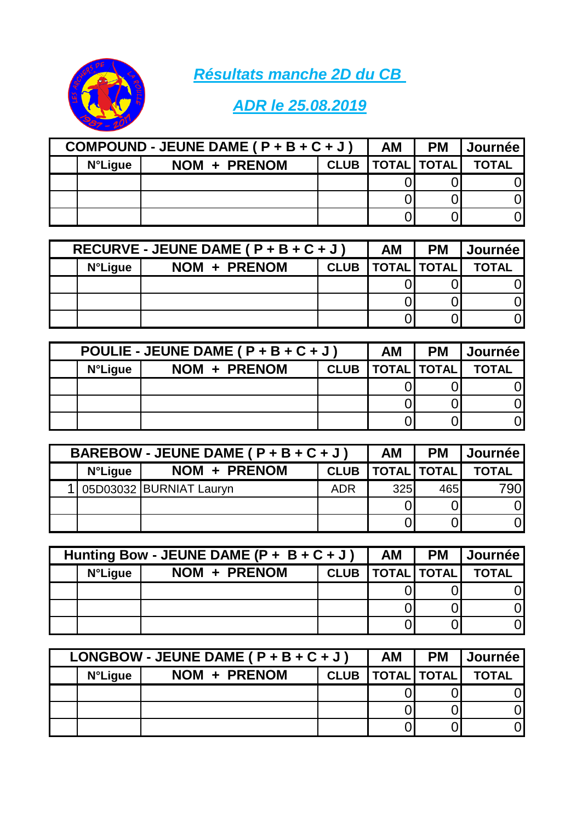*Résultats manche 2D du CB* 



## *ADR le 25.08.2019*

| COMPOUND - JEUNE DAME ( $P + B + C + J$ ) |              |  | AM                   | <b>PM</b> | <b>  Journée  </b> |
|-------------------------------------------|--------------|--|----------------------|-----------|--------------------|
| <b>N°Ligue</b>                            | NOM + PRENOM |  | CLUB   TOTAL   TOTAL |           | <b>TOTAL</b>       |
|                                           |              |  |                      |           |                    |
|                                           |              |  |                      |           |                    |
|                                           |              |  |                      |           |                    |

| RECURVE - JEUNE DAME ( $P + B + C + J$ ) |              |  | АM                   | <b>PM</b> | <b>I</b> Journée |
|------------------------------------------|--------------|--|----------------------|-----------|------------------|
| <b>N°Ligue</b>                           | NOM + PRENOM |  | CLUB   TOTAL   TOTAL |           | <b>TOTAL</b>     |
|                                          |              |  |                      |           |                  |
|                                          |              |  |                      |           |                  |
|                                          |              |  |                      |           |                  |

| POULIE - JEUNE DAME ( $P + B + C + J$ ) |              |  | AM                   | <b>PM</b> | <b>Journée</b> |
|-----------------------------------------|--------------|--|----------------------|-----------|----------------|
| <b>N°Ligue</b>                          | NOM + PRENOM |  | CLUB   TOTAL   TOTAL |           | <b>TOTAL</b>   |
|                                         |              |  |                      |           |                |
|                                         |              |  |                      |           |                |
|                                         |              |  |                      |           |                |

| BAREBOW - JEUNE DAME ( $P + B + C + J$ ) |                           |             | AM                 | <b>PM</b> | Journée      |
|------------------------------------------|---------------------------|-------------|--------------------|-----------|--------------|
| <b>N°Ligue</b>                           | NOM + PRENOM              | <b>CLUB</b> | <b>TOTAL TOTAL</b> |           | <b>TOTAL</b> |
|                                          | 1 05D03032 BURNIAT Lauryn | <b>ADR</b>  | 325                | 465       | 790I         |
|                                          |                           |             |                    |           | ΟI           |
|                                          |                           |             |                    |           | Ol           |

| Hunting Bow - JEUNE DAME $(P + B + C + J)$ |              |  | AM                   | <b>PM</b> | I Journée I  |
|--------------------------------------------|--------------|--|----------------------|-----------|--------------|
| <b>N°Ligue</b>                             | NOM + PRENOM |  | CLUB   TOTAL   TOTAL |           | <b>TOTAL</b> |
|                                            |              |  |                      |           |              |
|                                            |              |  |                      |           |              |
|                                            |              |  |                      |           |              |

| LONGBOW - JEUNE DAME ( $P + B + C + J$ ) |              |             | AM                 | <b>PM</b> | <b>Journée</b> l |
|------------------------------------------|--------------|-------------|--------------------|-----------|------------------|
| <b>N°Ligue</b>                           | NOM + PRENOM | <b>CLUB</b> | <b>TOTAL TOTAL</b> |           | <b>TOTAL</b>     |
|                                          |              |             |                    |           |                  |
|                                          |              |             |                    |           |                  |
|                                          |              |             |                    |           |                  |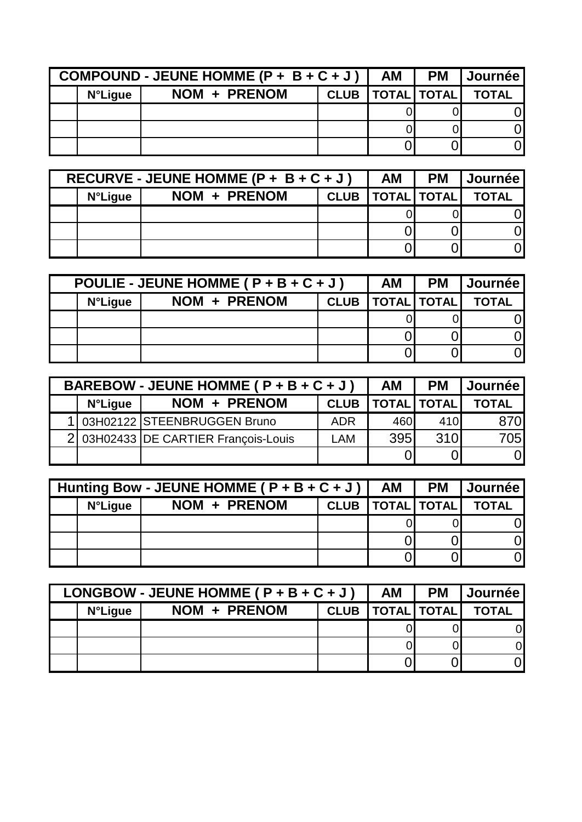| COMPOUND - JEUNE HOMME ( $P + B + C + J$ ) |              |             | AM                 | <b>PM</b> | Journée .    |
|--------------------------------------------|--------------|-------------|--------------------|-----------|--------------|
| <b>N°Ligue</b>                             | NOM + PRENOM | <b>CLUB</b> | <b>TOTAL TOTAL</b> |           | <b>TOTAL</b> |
|                                            |              |             |                    |           |              |
|                                            |              |             |                    |           |              |
|                                            |              |             |                    |           |              |

| RECURVE - JEUNE HOMME (P + $B + C + J$ ) |              |  | AM                   | <b>PM</b> | <b>Journée</b> |
|------------------------------------------|--------------|--|----------------------|-----------|----------------|
| <b>N°Ligue</b>                           | NOM + PRENOM |  | CLUB   TOTAL   TOTAL |           | <b>TOTAL</b>   |
|                                          |              |  |                      |           |                |
|                                          |              |  |                      |           |                |
|                                          |              |  |                      |           |                |

| POULIE - JEUNE HOMME ( $P + B + C + J$ ) |              |             | AM                                  | <b>PM</b> | <b>Journée</b> |
|------------------------------------------|--------------|-------------|-------------------------------------|-----------|----------------|
| <b>N°Ligue</b>                           | NOM + PRENOM | <b>CLUB</b> | $\vert$ TOTAL $\vert$ TOTAL $\vert$ |           | <b>TOTAL</b>   |
|                                          |              |             |                                     |           |                |
|                                          |              |             |                                     |           |                |
|                                          |              |             |                                     |           |                |

| BAREBOW - JEUNE HOMME ( $P + B + C + J$ ) |                                      |             | AΜ                 | <b>PM</b> | <b>Journée</b> |
|-------------------------------------------|--------------------------------------|-------------|--------------------|-----------|----------------|
| <b>N°Ligue</b>                            | NOM + PRENOM                         | <b>CLUB</b> | <b>TOTAL TOTAL</b> |           | <b>TOTAL</b>   |
|                                           | 1 03H02122 STEENBRUGGEN Bruno        | <b>ADR</b>  | 460                | 410       | 870            |
|                                           | 2 03H02433 DE CARTIER François-Louis | LAM         | 395                | 310       | 705            |
|                                           |                                      |             |                    |           | 01             |

| Hunting Bow - JEUNE HOMME ( $P + B + C + J$ ) |              |             | <b>AM</b>          | <b>PM</b> | <b>I Journée</b> l |
|-----------------------------------------------|--------------|-------------|--------------------|-----------|--------------------|
| <b>N°Ligue</b>                                | NOM + PRENOM | <b>CLUB</b> | <b>TOTAL TOTAL</b> |           | <b>TOTAL</b>       |
|                                               |              |             |                    |           |                    |
|                                               |              |             |                    |           |                    |
|                                               |              |             |                    |           |                    |

| LONGBOW - JEUNE HOMME ( $P + B + C + J$ ) |              |             | <b>AM</b>          | <b>PM</b> | <b>Journée</b> l |
|-------------------------------------------|--------------|-------------|--------------------|-----------|------------------|
| <b>N°Ligue</b>                            | NOM + PRENOM | <b>CLUB</b> | <b>TOTAL TOTAL</b> |           | <b>TOTAL</b>     |
|                                           |              |             |                    |           | ΩI               |
|                                           |              |             |                    |           | ΟI               |
|                                           |              |             |                    |           |                  |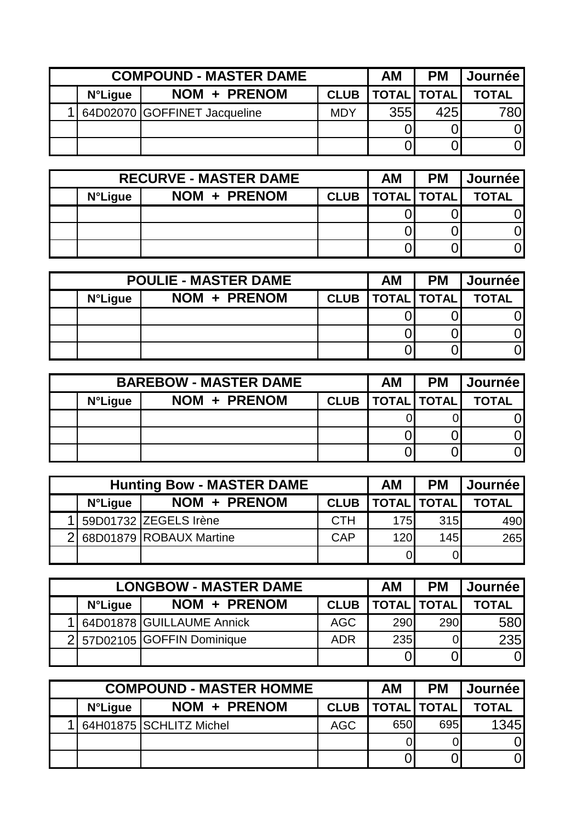| <b>COMPOUND - MASTER DAME</b> |                              |             | ΑM  | <b>PM</b>          | <b>Journée</b> |
|-------------------------------|------------------------------|-------------|-----|--------------------|----------------|
| <b>N</b> °Ligue               | NOM + PRENOM                 | <b>CLUB</b> |     | <b>TOTAL TOTAL</b> | <b>TOTAL</b>   |
|                               | 64D02070 GOFFINET Jacqueline | <b>MDY</b>  | 355 | 425                | 780l           |
|                               |                              |             |     |                    |                |
|                               |                              |             |     |                    |                |

| <b>RECURVE - MASTER DAME</b> |              |             | АM                 | <b>PM</b> | <b>Journée</b> |
|------------------------------|--------------|-------------|--------------------|-----------|----------------|
| <b>N°Ligue</b>               | NOM + PRENOM | <b>CLUB</b> | <b>TOTAL TOTAL</b> |           | <b>TOTAL</b>   |
|                              |              |             |                    |           |                |
|                              |              |             |                    |           | ωl             |
|                              |              |             |                    |           |                |

| <b>POULIE - MASTER DAME</b> |              |  | ΑM | <b>PM</b>            | <b>Journée</b> |
|-----------------------------|--------------|--|----|----------------------|----------------|
| <b>N°Ligue</b>              | NOM + PRENOM |  |    | CLUB   TOTAL   TOTAL | <b>TOTAL</b>   |
|                             |              |  |    |                      |                |
|                             |              |  |    |                      |                |
|                             |              |  |    |                      |                |

| <b>BAREBOW - MASTER DAME</b> |              |             |  | <b>PM</b>          | Journée      |
|------------------------------|--------------|-------------|--|--------------------|--------------|
| <b>N°Ligue</b>               | NOM + PRENOM | <b>CLUB</b> |  | <b>TOTAL TOTAL</b> | <b>TOTAL</b> |
|                              |              |             |  |                    |              |
|                              |              |             |  |                    |              |
|                              |              |             |  |                    |              |

| <b>Hunting Bow - MASTER DAME</b> |                           |             | АM                 | <b>PM</b> | <b>Journée</b> |
|----------------------------------|---------------------------|-------------|--------------------|-----------|----------------|
| <b>N°Ligue</b>                   | NOM + PRENOM              | <b>CLUB</b> | <b>TOTAL TOTAL</b> |           | <b>TOTAL</b>   |
|                                  | 1 59D01732 ZEGELS Irène   | <b>CTH</b>  | 175                | 315       | 490            |
|                                  | 2 68D01879 ROBAUX Martine | CAP         | 120                | 145       | 265            |
|                                  |                           |             |                    | 01        |                |

| <b>LONGBOW - MASTER DAME</b> |                             |             |                    | <b>PM</b> | <b>Journée</b> |
|------------------------------|-----------------------------|-------------|--------------------|-----------|----------------|
| <b>N°Ligue</b>               | NOM + PRENOM                | <b>CLUB</b> | <b>TOTAL TOTAL</b> |           | <b>TOTAL</b>   |
|                              | 1 64D01878 GUILLAUME Annick | AGC         | 290                | 290       | 580            |
|                              | 2 57D02105 GOFFIN Dominique | <b>ADR</b>  | <b>235</b>         |           | 235            |
|                              |                             |             |                    |           | 01             |

| <b>COMPOUND - MASTER HOMME</b> |                         |             |                    | <b>PM</b> | <b>Journée</b> |
|--------------------------------|-------------------------|-------------|--------------------|-----------|----------------|
| <b>N°Ligue</b>                 | NOM + PRENOM            | <b>CLUB</b> | <b>TOTAL TOTAL</b> |           | <b>TOTAL</b>   |
|                                | S4H01875 SCHLITZ Michel | <b>AGC</b>  | 650                | 695       | <b>1345</b>    |
|                                |                         |             |                    |           | OI             |
|                                |                         |             |                    |           | 01             |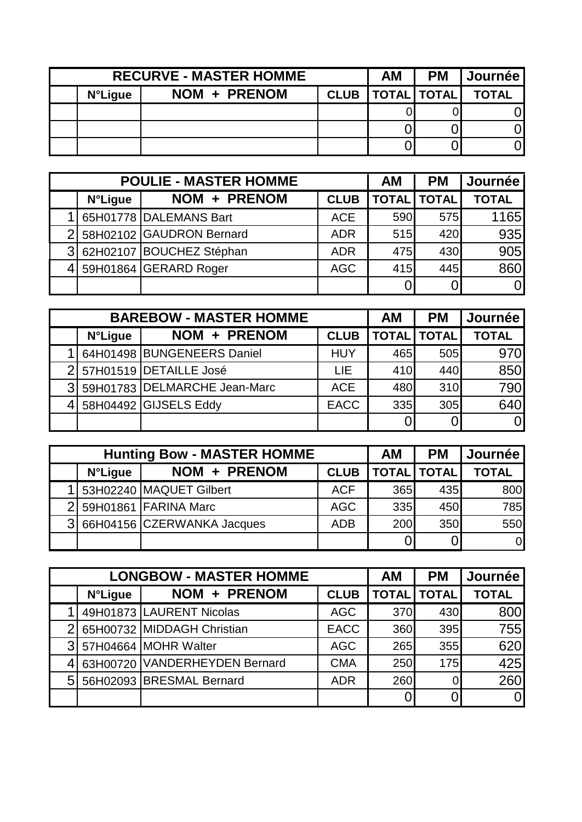|                | <b>RECURVE - MASTER HOMME</b> |             | ΑM                 | <b>PM</b> | <b>Journée</b> |
|----------------|-------------------------------|-------------|--------------------|-----------|----------------|
| <b>N°Ligue</b> | NOM + PRENOM                  | <b>CLUB</b> | <b>TOTAL TOTAL</b> |           | <b>TOTAL</b>   |
|                |                               |             |                    |           |                |
|                |                               |             |                    |           |                |
|                |                               |             |                    |           |                |

|                | <b>POULIE - MASTER HOMME</b> |             | AM  | <b>PM</b>          | Journée      |
|----------------|------------------------------|-------------|-----|--------------------|--------------|
| <b>N°Ligue</b> | NOM + PRENOM                 | <b>CLUB</b> |     | <b>TOTAL TOTAL</b> | <b>TOTAL</b> |
|                | 65H01778 DALEMANS Bart       | <b>ACE</b>  | 590 | 575                | 1165         |
|                | 2 58H02102 GAUDRON Bernard   | <b>ADR</b>  | 515 | 420                | 935          |
|                | 3 62H02107 BOUCHEZ Stéphan   | <b>ADR</b>  | 475 | 430                | 905          |
|                | 4 59H01864 GERARD Roger      | <b>AGC</b>  | 415 | 445                | 860          |
|                |                              |             |     |                    | 0l           |

| <b>BAREBOW - MASTER HOMME</b> |                                |             | AM  | <b>PM</b>          | <b>Journée</b> |
|-------------------------------|--------------------------------|-------------|-----|--------------------|----------------|
| <b>N°Ligue</b>                | NOM + PRENOM                   | <b>CLUB</b> |     | <b>TOTAL TOTAL</b> | <b>TOTAL</b>   |
|                               | 64H01498 BUNGENEERS Daniel     | <b>HUY</b>  | 465 | 505                | 970            |
|                               | 2 57H01519 DETAILLE José       | LIE         | 410 | 440                | 850            |
|                               | 3 59H01783 DELMARCHE Jean-Marc | <b>ACE</b>  | 480 | 310                | 790            |
|                               | 4 58H04492 GIJSELS Eddy        | <b>EACC</b> | 335 | 305                | 640            |
|                               |                                |             |     |                    | $\overline{0}$ |

| <b>Hunting Bow - MASTER HOMME</b> |                              |             |                    | <b>PM</b>       | <b>Journée</b> |
|-----------------------------------|------------------------------|-------------|--------------------|-----------------|----------------|
| <b>N°Ligue</b>                    | NOM + PRENOM                 | <b>CLUB</b> | <b>TOTAL</b> TOTAL |                 | <b>TOTAL</b>   |
|                                   | 1 53H02240 MAQUET Gilbert    | <b>ACF</b>  | 365 <sup>1</sup>   | 435 <sup></sup> | 800            |
|                                   | 2 59H01861 FARINA Marc       | <b>AGC</b>  | 335                | 450             | 785            |
|                                   | 3 66H04156 CZERWANKA Jacques | <b>ADB</b>  | 200                | 350             | 550            |
|                                   |                              |             |                    |                 | $\mathsf{O}$   |

| <b>LONGBOW - MASTER HOMME</b> |                               |             |     | <b>PM</b>          | Journée      |
|-------------------------------|-------------------------------|-------------|-----|--------------------|--------------|
| <b>N°Ligue</b>                | NOM + PRENOM                  | <b>CLUB</b> |     | <b>TOTAL TOTAL</b> | <b>TOTAL</b> |
|                               | 49H01873 LAURENT Nicolas      | <b>AGC</b>  | 370 | 430                | 800          |
|                               | 2 65H00732 MIDDAGH Christian  | <b>EACC</b> | 360 | 395                | 755          |
|                               | 3 57H04664 MOHR Walter        | <b>AGC</b>  | 265 | 355                | 620          |
|                               | 63H00720 VANDERHEYDEN Bernard | <b>CMA</b>  | 250 | 175                | 425          |
|                               | 5 56H02093 BRESMAL Bernard    | <b>ADR</b>  | 260 | 01                 | 260          |
|                               |                               |             |     |                    | $\Omega$     |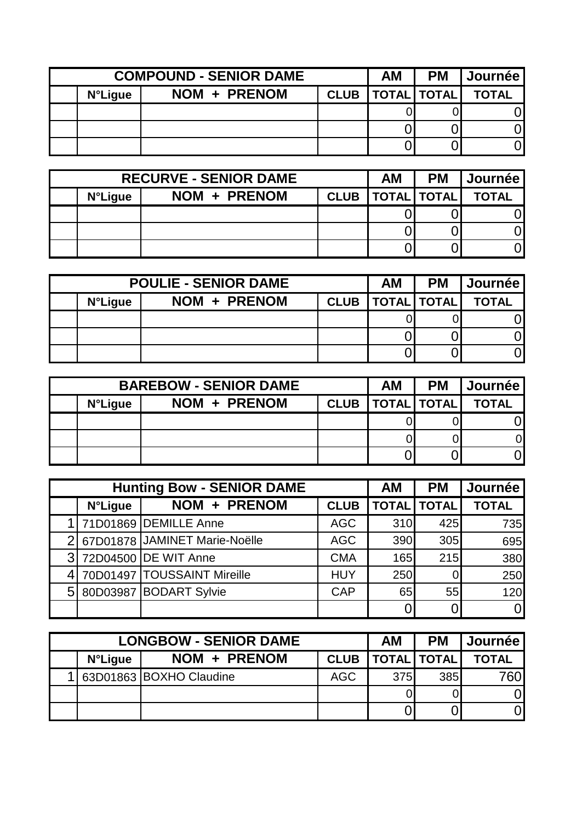| <b>COMPOUND - SENIOR DAME</b> |              |             | ΑM | <b>PM</b>          | <b>Journée</b> |
|-------------------------------|--------------|-------------|----|--------------------|----------------|
| <b>N°Ligue</b>                | NOM + PRENOM | <b>CLUB</b> |    | <b>TOTAL TOTAL</b> | <b>TOTAL</b>   |
|                               |              |             |    |                    |                |
|                               |              |             |    |                    |                |
|                               |              |             |    |                    |                |

| <b>RECURVE - SENIOR DAME</b> |              |             | АM                 | <b>PM</b> | <b>Journée</b> |
|------------------------------|--------------|-------------|--------------------|-----------|----------------|
| <b>N°Ligue</b>               | NOM + PRENOM | <b>CLUB</b> | <b>TOTAL TOTAL</b> |           | <b>TOTAL</b>   |
|                              |              |             |                    |           |                |
|                              |              |             |                    |           |                |
|                              |              |             |                    |           |                |

| <b>POULIE - SENIOR DAME</b> |              |  | ΑM                   | <b>PM</b> | Journée      |
|-----------------------------|--------------|--|----------------------|-----------|--------------|
| <b>N°Ligue</b>              | NOM + PRENOM |  | CLUB   TOTAL   TOTAL |           | <b>TOTAL</b> |
|                             |              |  |                      |           |              |
|                             |              |  |                      |           |              |
|                             |              |  |                      |           |              |

| <b>BAREBOW - SENIOR DAME</b> |              |  | АM                   | <b>PM</b> | <b>Journée</b> |
|------------------------------|--------------|--|----------------------|-----------|----------------|
| <b>N°Ligue</b>               | NOM + PRENOM |  | CLUB   TOTAL   TOTAL |           | <b>TOTAL</b>   |
|                              |              |  |                      |           |                |
|                              |              |  |                      |           |                |
|                              |              |  |                      |           |                |

|                | <b>Hunting Bow - SENIOR DAME</b> |                                 |             | AM  | <b>PM</b>   | Journée        |
|----------------|----------------------------------|---------------------------------|-------------|-----|-------------|----------------|
|                | <b>N°Ligue</b>                   | NOM + PRENOM                    | <b>CLUB</b> |     | TOTAL TOTAL | <b>TOTAL</b>   |
|                |                                  | 1 71D01869 DEMILLE Anne         | <b>AGC</b>  | 310 | 425         | 735            |
|                |                                  | 2 67D01878 JAMINET Marie-Noëlle | <b>AGC</b>  | 390 | 305         | 695            |
| 3 <sup>1</sup> |                                  | 72D04500 DE WIT Anne            | <b>CMA</b>  | 165 | 215         | 380            |
| 41             |                                  | 70D01497   TOUSSAINT Mireille   | <b>HUY</b>  | 250 | 01          | 250            |
|                |                                  | 5 80D03987 BODART Sylvie        | <b>CAP</b>  | 65  | 55          | 120            |
|                |                                  |                                 |             |     |             | $\overline{0}$ |

| <b>LONGBOW - SENIOR DAME</b> |                         |             |                    | <b>PM</b> | <b>Journée</b> |
|------------------------------|-------------------------|-------------|--------------------|-----------|----------------|
| <b>N°Ligue</b>               | NOM + PRENOM            | <b>CLUB</b> | <b>TOTAL TOTAL</b> |           | <b>TOTAL</b>   |
|                              | 63D01863 BOXHO Claudine | <b>AGC</b>  | 375                | 385       | 760I           |
|                              |                         |             |                    |           | ΩI             |
|                              |                         |             |                    |           | Οl             |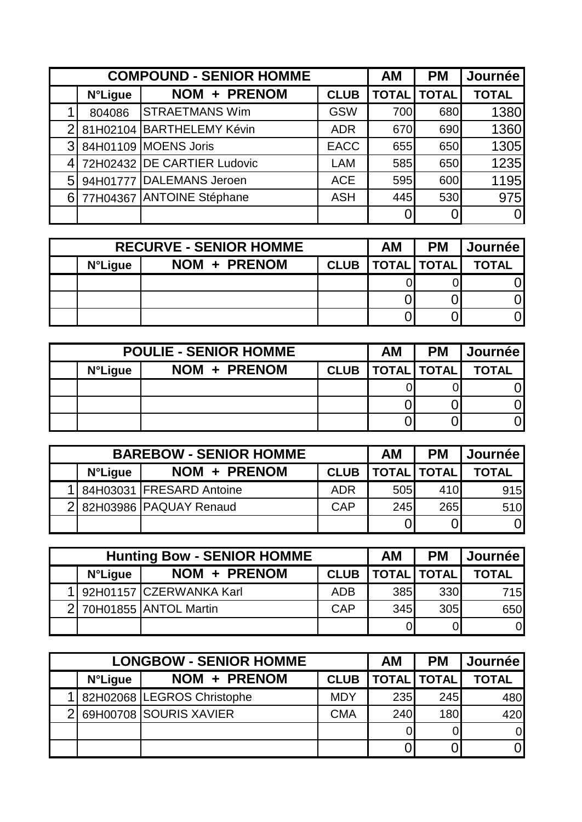|                | <b>COMPOUND - SENIOR HOMME</b> |                             |             |     | <b>PM</b>          | Journée      |
|----------------|--------------------------------|-----------------------------|-------------|-----|--------------------|--------------|
|                | <b>N°Ligue</b>                 | NOM + PRENOM                | <b>CLUB</b> |     | <b>TOTAL TOTAL</b> | <b>TOTAL</b> |
|                | 804086                         | <b>STRAETMANS Wim</b>       | <b>GSW</b>  | 700 | 680                | 1380         |
| $\overline{2}$ |                                | 81H02104 BARTHELEMY Kévin   | <b>ADR</b>  | 670 | 690                | 1360         |
|                |                                | 3 84H01109 MOENS Joris      | <b>EACC</b> | 655 | 650                | 1305         |
| 4 <sup>1</sup> |                                | 72H02432 DE CARTIER Ludovic | <b>LAM</b>  | 585 | 650                | 1235         |
| 5 <sup>1</sup> |                                | 94H01777 DALEMANS Jeroen    | <b>ACE</b>  | 595 | 600                | 1195         |
| 61             |                                | 77H04367 ANTOINE Stéphane   | <b>ASH</b>  | 445 | 530                | 975          |
|                |                                |                             |             | 0   |                    | $\Omega$     |

| <b>RECURVE - SENIOR HOMME</b> |              |  | ΑM                   | <b>PM</b> | <b>Journée</b> l |
|-------------------------------|--------------|--|----------------------|-----------|------------------|
| <b>N°Ligue</b>                | NOM + PRENOM |  | CLUB   TOTAL   TOTAL |           | <b>TOTAL</b>     |
|                               |              |  |                      |           |                  |
|                               |              |  |                      |           |                  |
|                               |              |  |                      |           |                  |

| <b>POULIE - SENIOR HOMME</b> |              |  | ΑM | <b>PM</b>                     | <b>Journée</b> l |
|------------------------------|--------------|--|----|-------------------------------|------------------|
| <b>N°Ligue</b>               | NOM + PRENOM |  |    | <b>CLUB   TOTAL   TOTAL  </b> | <b>TOTAL</b>     |
|                              |              |  |    |                               |                  |
|                              |              |  |    |                               |                  |
|                              |              |  |    |                               |                  |

| <b>BAREBOW - SENIOR HOMME</b> |                            |             | AΜ                 | <b>PM</b>  | <b>  Journée  </b> |
|-------------------------------|----------------------------|-------------|--------------------|------------|--------------------|
| <b>N°Ligue</b>                | NOM + PRENOM               | <b>CLUB</b> | <b>TOTAL TOTAL</b> |            | <b>TOTAL</b>       |
|                               | 1 84H03031 FRESARD Antoine | <b>ADR</b>  | 505                | 410        | 915                |
|                               | 2 82H03986 PAQUAY Renaud   | <b>CAP</b>  | 245                | <b>265</b> | 510                |
|                               |                            |             |                    |            | ΟI                 |

| <b>Hunting Bow - SENIOR HOMME</b> |                           |             |                    | <b>PM</b>        | <b>Journée</b> |
|-----------------------------------|---------------------------|-------------|--------------------|------------------|----------------|
| <b>N°Ligue</b>                    | NOM + PRENOM              | <b>CLUB</b> | <b>TOTAL TOTAL</b> |                  | <b>TOTAL</b>   |
|                                   | 1 92H01157 CZERWANKA Karl | <b>ADB</b>  | 385                | 330 <sup>l</sup> | 715            |
|                                   | 2 70H01855 ANTOL Martin   | CAP         | 345                | 305              | 650            |
|                                   |                           |             |                    | 01               | $\overline{0}$ |

|                | <b>LONGBOW - SENIOR HOMME</b> |             | АM  | <b>PM</b>          | Journée        |
|----------------|-------------------------------|-------------|-----|--------------------|----------------|
| <b>N°Ligue</b> | NOM + PRENOM                  | <b>CLUB</b> |     | <b>TOTAL TOTAL</b> | <b>TOTAL</b>   |
|                | 82H02068 LEGROS Christophe    | <b>MDY</b>  | 235 | 245                | 480            |
|                | 69H00708 SOURIS XAVIER        | <b>CMA</b>  | 240 | 180                | 420            |
|                |                               |             |     |                    | $\overline{0}$ |
|                |                               |             |     |                    | $\overline{0}$ |